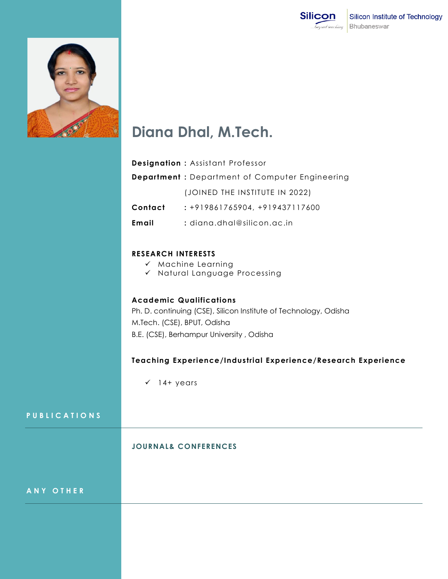



# **Diana Dhal, M.Tech.**

|         | <b>Designation: Assistant Professor</b>               |
|---------|-------------------------------------------------------|
|         | <b>Department:</b> Department of Computer Engineering |
|         | (JOINED THE INSTITUTE IN 2022)                        |
| Contact | : +919861765904, +919437117600                        |
| Email   | : diana.dhal@silicon.ac.in                            |

# **RESEARCH INTERESTS**

- $\checkmark$  Machine Learning
- $\checkmark$  Natural Language Processing

#### **Academic Qualifications**

Ph. D. continuing (CSE), Silicon Institute of Technology, Odisha M.Tech. (CSE), BPUT, Odisha B.E. (CSE), Berhampur University , Odisha

## **Teaching Experience/Industrial Experience/Research Experience**

 $\checkmark$  14+ years

### **P U B L I C A T I O N S**

#### **JOURNAL& CONFERENCES**

**A N Y O T H E R**